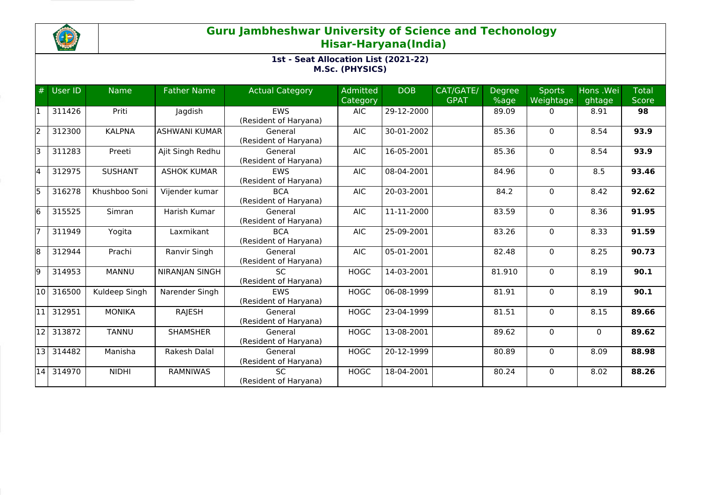

| #  | User ID                | <b>Name</b>    | <b>Father Name</b>   | <b>Actual Category</b>              | <b>Admitted</b><br>Category | <b>DOB</b>   | CAT/GATE/<br><b>GPAT</b> | <b>Degree</b><br>%age | <b>Sports</b><br>Weightage | Hons .Wei<br>ghtage | <b>Total</b><br><b>Score</b> |
|----|------------------------|----------------|----------------------|-------------------------------------|-----------------------------|--------------|--------------------------|-----------------------|----------------------------|---------------------|------------------------------|
| l1 | 311426                 | Priti          | Jagdish              | <b>EWS</b><br>(Resident of Haryana) | <b>AIC</b>                  | 29-12-2000   |                          | 89.09                 | 0                          | 8.91                | 98                           |
| 2  | 312300                 | <b>KALPNA</b>  | <b>ASHWANI KUMAR</b> | General<br>(Resident of Haryana)    | <b>AIC</b>                  | 30-01-2002   |                          | 85.36                 | $\Omega$                   | 8.54                | 93.9                         |
| Б  | 311283                 | Preeti         | Ajit Singh Redhu     | General<br>(Resident of Haryana)    | <b>AIC</b>                  | 16-05-2001   |                          | 85.36                 | 0                          | 8.54                | 93.9                         |
| 4  | 312975                 | <b>SUSHANT</b> | <b>ASHOK KUMAR</b>   | <b>EWS</b><br>(Resident of Haryana) | <b>AIC</b>                  | 08-04-2001   |                          | 84.96                 | $\Omega$                   | 8.5                 | 93.46                        |
| l5 | 316278                 | Khushboo Soni  | Vijender kumar       | <b>BCA</b><br>(Resident of Haryana) | <b>AIC</b>                  | 20-03-2001   |                          | 84.2                  | $\Omega$                   | 8.42                | 92.62                        |
| 6  | 315525                 | Simran         | Harish Kumar         | General<br>(Resident of Haryana)    | <b>AIC</b>                  | 11-11-2000   |                          | 83.59                 | 0                          | 8.36                | 91.95                        |
| 17 | 311949                 | Yogita         | Laxmikant            | <b>BCA</b><br>(Resident of Haryana) | <b>AIC</b>                  | 25-09-2001   |                          | 83.26                 | $\Omega$                   | 8.33                | 91.59                        |
| 8  | 312944                 | Prachi         | Ranvir Singh         | General<br>(Resident of Haryana)    | <b>AIC</b>                  | 05-01-2001   |                          | 82.48                 | 0                          | 8.25                | 90.73                        |
| l9 | 314953                 | <b>MANNU</b>   | NIRANJAN SINGH       | <b>SC</b><br>(Resident of Haryana)  | <b>HOGC</b>                 | 14-03-2001   |                          | 81.910                | 0                          | 8.19                | 90.1                         |
| 10 | 316500                 | Kuldeep Singh  | Narender Singh       | <b>FWS</b><br>(Resident of Haryana) | <b>HOGC</b>                 | 06-08-1999   |                          | 81.91                 | $\Omega$                   | 8.19                | 90.1                         |
| 11 | 312951                 | <b>MONIKA</b>  | <b>RAJESH</b>        | General<br>(Resident of Haryana)    | <b>HOGC</b>                 | 23-04-1999   |                          | 81.51                 | 0                          | 8.15                | 89.66                        |
| 12 | 313872                 | <b>TANNU</b>   | <b>SHAMSHER</b>      | General<br>(Resident of Haryana)    | <b>HOGC</b>                 | 13-08-2001   |                          | 89.62                 | $\Omega$                   | $\Omega$            | 89.62                        |
|    | $\overline{13}$ 314482 | Manisha        | Rakesh Dalal         | General<br>(Resident of Haryana)    | <b>HOGC</b>                 | 20-12-1999   |                          | 80.89                 | 0                          | 8.09                | 88.98                        |
| 14 | 314970                 | <b>NIDHI</b>   | <b>RAMNIWAS</b>      | <b>SC</b><br>(Resident of Haryana)  | <b>HOGC</b>                 | $18-04-2001$ |                          | 80.24                 | $\Omega$                   | 8.02                | 88.26                        |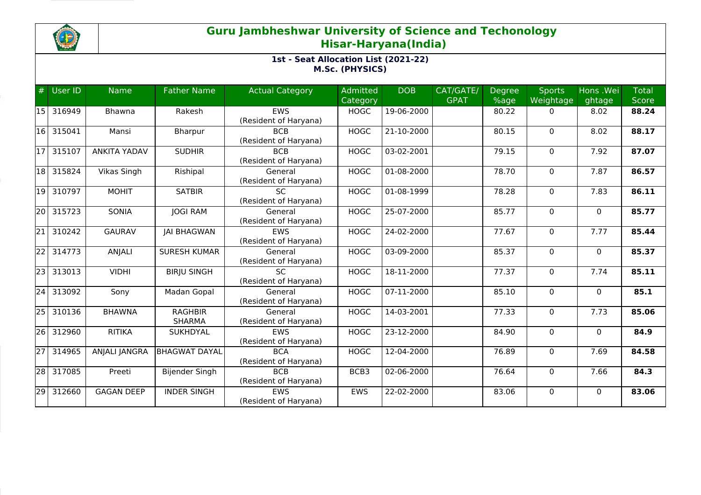

| #               | <b>User ID</b> | <b>Name</b>         | <b>Father Name</b>   | <b>Actual Category</b> | Admitted    | <b>DOB</b> | CAT/GATE/   | <b>Degree</b> | <b>Sports</b> | Hons .Wei    | <b>Total</b> |
|-----------------|----------------|---------------------|----------------------|------------------------|-------------|------------|-------------|---------------|---------------|--------------|--------------|
|                 |                |                     |                      |                        | Category    |            | <b>GPAT</b> | %age          | Weightage     | ghtage       | <b>Score</b> |
| 15              | 316949         | Bhawna              | Rakesh               | EWS                    | <b>HOGC</b> | 19-06-2000 |             | 80.22         | 0             | 8.02         | 88.24        |
|                 |                |                     |                      | (Resident of Haryana)  |             |            |             |               |               |              |              |
| 16              | 315041         | Mansi               | Bharpur              | <b>BCB</b>             | <b>HOGC</b> | 21-10-2000 |             | 80.15         | 0             | 8.02         | 88.17        |
|                 |                |                     |                      | (Resident of Haryana)  |             |            |             |               |               |              |              |
| 17              | 315107         | <b>ANKITA YADAV</b> | <b>SUDHIR</b>        | <b>BCB</b>             | <b>HOGC</b> | 03-02-2001 |             | 79.15         | 0             | 7.92         | 87.07        |
|                 |                |                     |                      | (Resident of Haryana)  |             |            |             |               |               |              |              |
| 18              | 315824         | Vikas Singh         | Rishipal             | General                | <b>HOGC</b> | 01-08-2000 |             | 78.70         | $\mathbf 0$   | 7.87         | 86.57        |
|                 |                |                     |                      | (Resident of Haryana)  |             |            |             |               |               |              |              |
| 19 I            | 310797         | <b>MOHIT</b>        | <b>SATBIR</b>        | SC                     | <b>HOGC</b> | 01-08-1999 |             | 78.28         | $\mathbf 0$   | 7.83         | 86.11        |
|                 |                |                     |                      | (Resident of Haryana)  |             |            |             |               |               |              |              |
| 20              | 315723         | <b>SONIA</b>        | <b>JOGI RAM</b>      | General                | <b>HOGC</b> | 25-07-2000 |             | 85.77         | $\mathbf{0}$  | $\mathbf{0}$ | 85.77        |
|                 |                |                     |                      | (Resident of Haryana)  |             |            |             |               |               |              |              |
| 21              | 310242         | <b>GAURAV</b>       | <b>JAI BHAGWAN</b>   | EWS                    | <b>HOGC</b> | 24-02-2000 |             | 77.67         | 0             | 7.77         | 85.44        |
|                 |                |                     |                      | (Resident of Haryana)  |             |            |             |               |               |              |              |
| $\overline{22}$ | 314773         | <b>ANJALI</b>       | <b>SURESH KUMAR</b>  | General                | <b>HOGC</b> | 03-09-2000 |             | 85.37         | $\mathbf 0$   | $\Omega$     | 85.37        |
|                 |                |                     |                      | (Resident of Haryana)  |             |            |             |               |               |              |              |
| 23              | 313013         | <b>VIDHI</b>        | <b>BIRJU SINGH</b>   | <b>SC</b>              | <b>HOGC</b> | 18-11-2000 |             | 77.37         | 0             | 7.74         | 85.11        |
|                 |                |                     |                      | (Resident of Haryana)  |             |            |             |               |               |              |              |
| $\overline{24}$ | 313092         | Sony                | Madan Gopal          | General                | <b>HOGC</b> | 07-11-2000 |             | 85.10         | $\mathbf 0$   | $\Omega$     | 85.1         |
|                 |                |                     |                      | (Resident of Haryana)  |             |            |             |               |               |              |              |
| 25              | 310136         | <b>BHAWNA</b>       | <b>RAGHBIR</b>       | General                | <b>HOGC</b> | 14-03-2001 |             | 77.33         | $\mathbf 0$   | 7.73         | 85.06        |
|                 |                |                     | <b>SHARMA</b>        | (Resident of Haryana)  |             |            |             |               |               |              |              |
| 261             | 312960         | <b>RITIKA</b>       | <b>SUKHDYAL</b>      | <b>EWS</b>             | <b>HOGC</b> | 23-12-2000 |             | 84.90         | $\mathbf 0$   | $\Omega$     | 84.9         |
|                 |                |                     |                      | (Resident of Haryana)  |             |            |             |               |               |              |              |
| $\overline{27}$ | 314965         | ANJALI JANGRA       | <b>BHAGWAT DAYAL</b> | <b>BCA</b>             | <b>HOGC</b> | 12-04-2000 |             | 76.89         | 0             | 7.69         | 84.58        |
|                 |                |                     |                      | (Resident of Haryana)  |             |            |             |               |               |              |              |
| $\overline{28}$ | 317085         | Preeti              | Bijender Singh       | <b>BCB</b>             | BCB3        | 02-06-2000 |             | 76.64         | 0             | 7.66         | 84.3         |
|                 |                |                     |                      | (Resident of Haryana)  |             |            |             |               |               |              |              |
| $\overline{29}$ | 312660         | <b>GAGAN DEEP</b>   | <b>INDER SINGH</b>   | <b>EWS</b>             | <b>EWS</b>  | 22-02-2000 |             | 83.06         | $\mathbf 0$   | $\Omega$     | 83.06        |
|                 |                |                     |                      | (Resident of Haryana)  |             |            |             |               |               |              |              |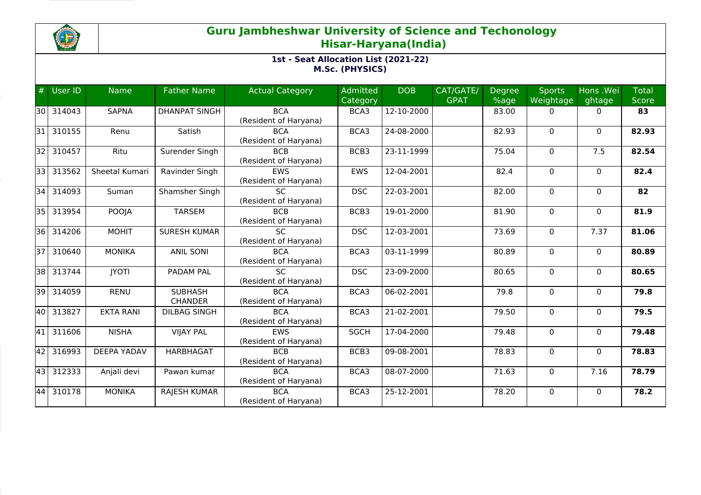

| #               | User ID | <b>Name</b>        | <b>Father Name</b>   | <b>Actual Category</b> | Admitted<br>Category | <b>DOB</b>       | CAT/GATE/<br><b>GPAT</b> | Degree<br>%age | <b>Sports</b><br>Weightage | Hons .Wei<br>ghtage | <b>Total</b><br>Score |
|-----------------|---------|--------------------|----------------------|------------------------|----------------------|------------------|--------------------------|----------------|----------------------------|---------------------|-----------------------|
|                 |         |                    |                      |                        |                      |                  |                          |                |                            |                     |                       |
| 30 I            | 314043  | <b>SAPNA</b>       | <b>DHANPAT SINGH</b> | <b>BCA</b>             | BCA3                 | 12-10-2000       |                          | 83.00          | 0                          | $\mathbf{0}$        | 83                    |
|                 |         |                    |                      | (Resident of Haryana)  |                      |                  |                          |                |                            |                     |                       |
| 31              | 310155  | Renu               | Satish               | <b>BCA</b>             | BCA3                 | 24-08-2000       |                          | 82.93          | $\mathbf 0$                | $\mathbf{0}$        | 82.93                 |
|                 |         |                    |                      | (Resident of Haryana)  |                      |                  |                          |                |                            |                     |                       |
| 32              | 310457  | Ritu               | Surender Singh       | <b>BCB</b>             | BCB3                 | 23-11-1999       |                          | 75.04          | $\Omega$                   | 7.5                 | 82.54                 |
|                 |         |                    |                      | (Resident of Haryana)  |                      |                  |                          |                |                            |                     |                       |
| 33              | 313562  | Sheetal Kumari     | Ravinder Singh       | <b>EWS</b>             | EWS                  | 12-04-2001       |                          | 82.4           | $\mathbf 0$                | $\mathbf{0}$        | 82.4                  |
|                 |         |                    |                      | (Resident of Haryana)  |                      |                  |                          |                |                            |                     |                       |
| 34              | 314093  | Suman              | Shamsher Singh       | $\overline{SC}$        | <b>DSC</b>           | 22-03-2001       |                          | 82.00          | $\mathbf 0$                | $\Omega$            | $\overline{82}$       |
|                 |         |                    |                      | (Resident of Haryana)  |                      |                  |                          |                |                            |                     |                       |
| $351$           | 313954  | <b>POOJA</b>       | <b>TARSEM</b>        | <b>BCB</b>             | BCB3                 | 19-01-2000       |                          | 81.90          | $\mathbf 0$                | $\mathbf{0}$        | 81.9                  |
|                 |         |                    |                      | (Resident of Haryana)  |                      |                  |                          |                |                            |                     |                       |
| 36              | 314206  | <b>MOHIT</b>       | <b>SURESH KUMAR</b>  | <b>SC</b>              | <b>DSC</b>           | 12-03-2001       |                          | 73.69          | 0                          | 7.37                | 81.06                 |
|                 |         |                    |                      | (Resident of Haryana)  |                      |                  |                          |                |                            |                     |                       |
| $\overline{37}$ | 310640  | <b>MONIKA</b>      | <b>ANIL SONI</b>     | <b>BCA</b>             | BCA3                 | 03-11-1999       |                          | 80.89          | $\Omega$                   | $\Omega$            | 80.89                 |
|                 |         |                    |                      | (Resident of Haryana)  |                      |                  |                          |                |                            |                     |                       |
| 38              | 313744  | <b>JYOTI</b>       | PADAM PAL            | SC.                    | <b>DSC</b>           | 23-09-2000       |                          | 80.65          | 0                          | $\mathbf{0}$        | 80.65                 |
|                 |         |                    |                      | (Resident of Haryana)  |                      |                  |                          |                |                            |                     |                       |
| 39              | 314059  | <b>RENU</b>        | <b>SUBHASH</b>       | <b>BCA</b>             | BCA3                 | $06 - 02 - 2001$ |                          | 79.8           | $\mathbf 0$                | $\mathbf{0}$        | 79.8                  |
|                 |         |                    | <b>CHANDER</b>       | (Resident of Haryana)  |                      |                  |                          |                |                            |                     |                       |
| 40              | 313827  | <b>EKTA RANI</b>   | <b>DILBAG SINGH</b>  | <b>BCA</b>             | BCA3                 | 21-02-2001       |                          | 79.50          | $\Omega$                   | $\Omega$            | 79.5                  |
|                 |         |                    |                      | (Resident of Haryana)  |                      |                  |                          |                |                            |                     |                       |
| 41              | 311606  | <b>NISHA</b>       | <b>VIJAY PAL</b>     | <b>EWS</b>             | <b>SGCH</b>          | 17-04-2000       |                          | 79.48          | $\mathbf 0$                | $\mathbf{0}$        | 79.48                 |
|                 |         |                    |                      | (Resident of Haryana)  |                      |                  |                          |                |                            |                     |                       |
| 42              | 316993  | <b>DEEPA YADAV</b> | HARBHAGAT            | <b>BCB</b>             | BCB3                 | 09-08-2001       |                          | 78.83          | 0                          | $\mathbf 0$         | 78.83                 |
|                 |         |                    |                      | (Resident of Haryana)  |                      |                  |                          |                |                            |                     |                       |
| 43              | 312333  | Anjali devi        | Pawan kumar          | <b>BCA</b>             | BCA3                 | 08-07-2000       |                          | 71.63          | 0                          | 7.16                | 78.79                 |
|                 |         |                    |                      | (Resident of Haryana)  |                      |                  |                          |                |                            |                     |                       |
| 44              | 310178  | <b>MONIKA</b>      | <b>RAJESH KUMAR</b>  | <b>BCA</b>             | BCA3                 | 25-12-2001       |                          | 78.20          | $\mathbf 0$                | $\Omega$            | 78.2                  |
|                 |         |                    |                      | (Resident of Haryana)  |                      |                  |                          |                |                            |                     |                       |